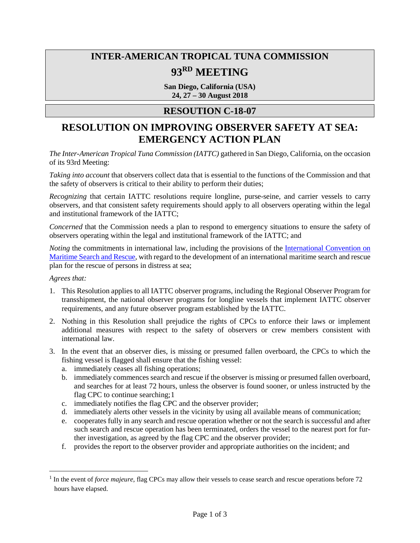## **INTER-AMERICAN TROPICAL TUNA COMMISSION 93RD MEETING**

**San Diego, California (USA) 24, 27 – 30 August 2018**

## **RESOUTION C-18-07**

## **RESOLUTION ON IMPROVING OBSERVER SAFETY AT SEA: EMERGENCY ACTION PLAN**

*The Inter-American Tropical Tuna Commission (IATTC)* gathered in San Diego, California, on the occasion of its 93rd Meeting:

*Taking into account* that observers collect data that is essential to the functions of the Commission and that the safety of observers is critical to their ability to perform their duties;

*Recognizing* that certain IATTC resolutions require longline, purse-seine, and carrier vessels to carry observers, and that consistent safety requirements should apply to all observers operating within the legal and institutional framework of the IATTC;

*Concerned* that the Commission needs a plan to respond to emergency situations to ensure the safety of observers operating within the legal and institutional framework of the IATTC; and

*Noting* the commitments in international law, including the provisions of the International Convention on [Maritime Search and Rescue,](http://www.imo.org/en/about/conventions/listofconventions/pages/international-convention-on-maritime-search-and-rescue-(sar).aspx) with regard to the development of an international maritime search and rescue plan for the rescue of persons in distress at sea;

## *Agrees that:*

 $\overline{a}$ 

- 1. This Resolution applies to all IATTC observer programs, including the Regional Observer Program for transshipment, the national observer programs for longline vessels that implement IATTC observer requirements, and any future observer program established by the IATTC.
- 2. Nothing in this Resolution shall prejudice the rights of CPCs to enforce their laws or implement additional measures with respect to the safety of observers or crew members consistent with international law.
- 3. In the event that an observer dies, is missing or presumed fallen overboard, the CPCs to which the fishing vessel is flagged shall ensure that the fishing vessel:
	- a. immediately ceases all fishing operations;
	- b. immediately commences search and rescue if the observer is missing or presumed fallen overboard, and searches for at least 72 hours, unless the observer is found sooner, or unless instructed by the flag CPC to continue searching;[1](#page-0-0)
	- c. immediately notifies the flag CPC and the observer provider;
	- d. immediately alerts other vessels in the vicinity by using all available means of communication;
	- e. cooperates fully in any search and rescue operation whether or not the search is successful and after such search and rescue operation has been terminated, orders the vessel to the nearest port for further investigation, as agreed by the flag CPC and the observer provider;
	- f. provides the report to the observer provider and appropriate authorities on the incident; and

<span id="page-0-0"></span><sup>1</sup> In the event of *force majeure*, flag CPCs may allow their vessels to cease search and rescue operations before 72 hours have elapsed.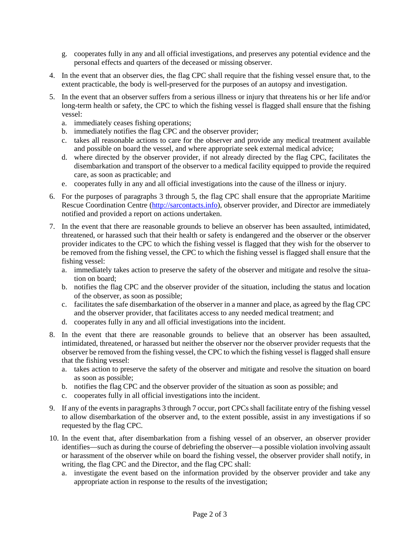- g. cooperates fully in any and all official investigations, and preserves any potential evidence and the personal effects and quarters of the deceased or missing observer.
- 4. In the event that an observer dies, the flag CPC shall require that the fishing vessel ensure that, to the extent practicable, the body is well-preserved for the purposes of an autopsy and investigation.
- 5. In the event that an observer suffers from a serious illness or injury that threatens his or her life and/or long-term health or safety, the CPC to which the fishing vessel is flagged shall ensure that the fishing vessel:
	- a. immediately ceases fishing operations;
	- b. immediately notifies the flag CPC and the observer provider;
	- c. takes all reasonable actions to care for the observer and provide any medical treatment available and possible on board the vessel, and where appropriate seek external medical advice;
	- d. where directed by the observer provider, if not already directed by the flag CPC, facilitates the disembarkation and transport of the observer to a medical facility equipped to provide the required care, as soon as practicable; and
	- e. cooperates fully in any and all official investigations into the cause of the illness or injury.
- 6. For the purposes of paragraphs 3 through 5, the flag CPC shall ensure that the appropriate Maritime Rescue Coordination Centre [\(http://sarcontacts.info\)](http://sarcontacts.info/), observer provider, and Director are immediately notified and provided a report on actions undertaken.
- 7. In the event that there are reasonable grounds to believe an observer has been assaulted, intimidated, threatened, or harassed such that their health or safety is endangered and the observer or the observer provider indicates to the CPC to which the fishing vessel is flagged that they wish for the observer to be removed from the fishing vessel, the CPC to which the fishing vessel is flagged shall ensure that the fishing vessel:
	- a. immediately takes action to preserve the safety of the observer and mitigate and resolve the situation on board;
	- b. notifies the flag CPC and the observer provider of the situation, including the status and location of the observer, as soon as possible;
	- c. facilitates the safe disembarkation of the observer in a manner and place, as agreed by the flag CPC and the observer provider, that facilitates access to any needed medical treatment; and
	- d. cooperates fully in any and all official investigations into the incident.
- 8. In the event that there are reasonable grounds to believe that an observer has been assaulted, intimidated, threatened, or harassed but neither the observer nor the observer provider requests that the observer be removed from the fishing vessel, the CPC to which the fishing vessel is flagged shall ensure that the fishing vessel:
	- a. takes action to preserve the safety of the observer and mitigate and resolve the situation on board as soon as possible;
	- b. notifies the flag CPC and the observer provider of the situation as soon as possible; and
	- c. cooperates fully in all official investigations into the incident.
- 9. If any of the events in paragraphs 3 through 7 occur, port CPCs shall facilitate entry of the fishing vessel to allow disembarkation of the observer and, to the extent possible, assist in any investigations if so requested by the flag CPC.
- 10. In the event that, after disembarkation from a fishing vessel of an observer, an observer provider identifies—such as during the course of debriefing the observer—a possible violation involving assault or harassment of the observer while on board the fishing vessel, the observer provider shall notify, in writing, the flag CPC and the Director, and the flag CPC shall:
	- a. investigate the event based on the information provided by the observer provider and take any appropriate action in response to the results of the investigation;